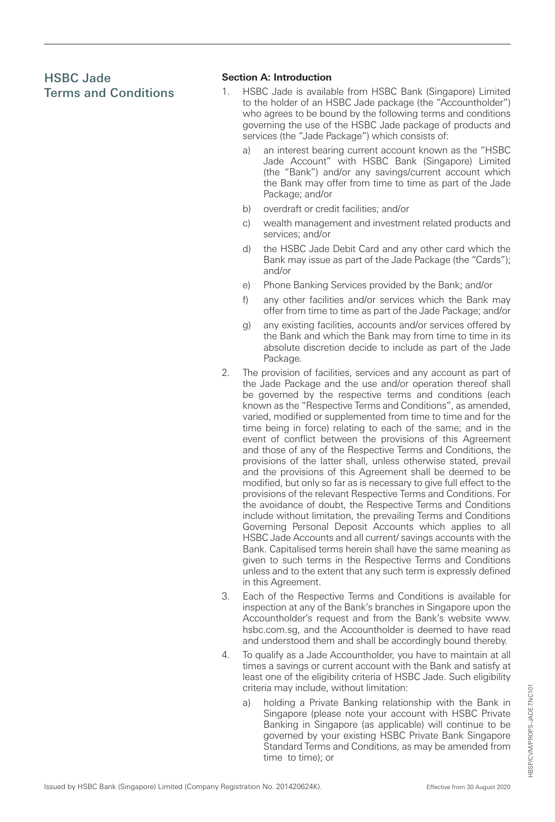# HSBC Jade Terms and Conditions

## **Section A: Introduction**

- 1. HSBC Jade is available from HSBC Bank (Singapore) Limited to the holder of an HSBC Jade package (the "Accountholder") who agrees to be bound by the following terms and conditions governing the use of the HSBC Jade package of products and services (the "Jade Package") which consists of:
	- an interest bearing current account known as the "HSBC Jade Account" with HSBC Bank (Singapore) Limited (the "Bank") and/or any savings/current account which the Bank may offer from time to time as part of the Jade Package; and/or
	- b) overdraft or credit facilities; and/or
	- c) wealth management and investment related products and services; and/or
	- d) the HSBC Jade Debit Card and any other card which the Bank may issue as part of the Jade Package (the "Cards"); and/or
	- e) Phone Banking Services provided by the Bank; and/or
	- f) any other facilities and/or services which the Bank may offer from time to time as part of the Jade Package; and/or
	- g) any existing facilities, accounts and/or services offered by the Bank and which the Bank may from time to time in its absolute discretion decide to include as part of the Jade Package.
- 2. The provision of facilities, services and any account as part of the Jade Package and the use and/or operation thereof shall be governed by the respective terms and conditions (each known as the "Respective Terms and Conditions", as amended, varied, modified or supplemented from time to time and for the time being in force) relating to each of the same; and in the event of conflict between the provisions of this Agreement and those of any of the Respective Terms and Conditions, the provisions of the latter shall, unless otherwise stated, prevail and the provisions of this Agreement shall be deemed to be modified, but only so far as is necessary to give full effect to the provisions of the relevant Respective Terms and Conditions. For the avoidance of doubt, the Respective Terms and Conditions include without limitation, the prevailing Terms and Conditions Governing Personal Deposit Accounts which applies to all HSBC Jade Accounts and all current/ savings accounts with the Bank. Capitalised terms herein shall have the same meaning as given to such terms in the Respective Terms and Conditions unless and to the extent that any such term is expressly defined in this Agreement.
- 3. Each of the Respective Terms and Conditions is available for inspection at any of the Bank's branches in Singapore upon the Accountholder's request and from the Bank's website www. hsbc.com.sg, and the Accountholder is deemed to have read and understood them and shall be accordingly bound thereby.
- 4. To qualify as a Jade Accountholder, you have to maintain at all times a savings or current account with the Bank and satisfy at least one of the eligibility criteria of HSBC Jade. Such eligibility criteria may include, without limitation:
	- a) holding a Private Banking relationship with the Bank in Singapore (please note your account with HSBC Private Banking in Singapore (as applicable) will continue to be governed by your existing HSBC Private Bank Singapore Standard Terms and Conditions, as may be amended from time to time); or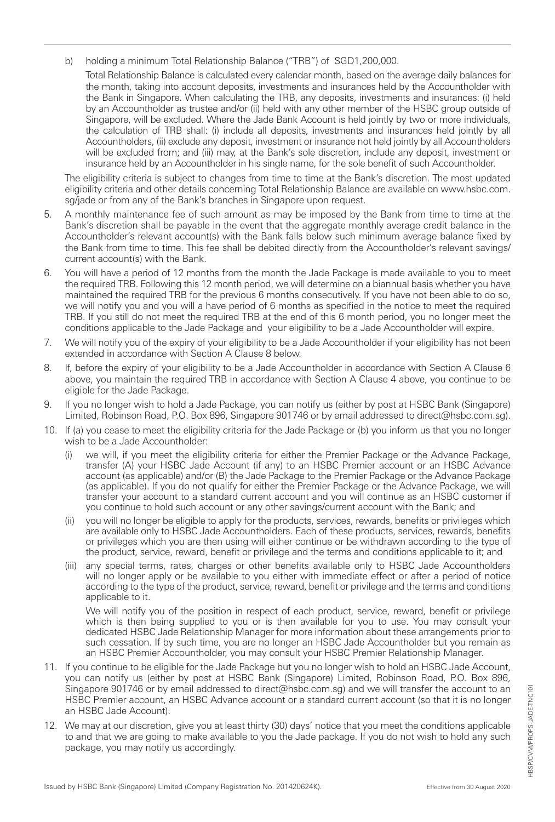b) holding a minimum Total Relationship Balance ("TRB") of SGD1,200,000.

 Total Relationship Balance is calculated every calendar month, based on the average daily balances for the month, taking into account deposits, investments and insurances held by the Accountholder with the Bank in Singapore. When calculating the TRB, any deposits, investments and insurances: (i) held by an Accountholder as trustee and/or (ii) held with any other member of the HSBC group outside of Singapore, will be excluded. Where the Jade Bank Account is held jointly by two or more individuals, the calculation of TRB shall: (i) include all deposits, investments and insurances held jointly by all Accountholders, (ii) exclude any deposit, investment or insurance not held jointly by all Accountholders will be excluded from; and (iii) may, at the Bank's sole discretion, include any deposit, investment or insurance held by an Accountholder in his single name, for the sole benefit of such Accountholder.

The eligibility criteria is subject to changes from time to time at the Bank's discretion. The most updated eligibility criteria and other details concerning Total Relationship Balance are available on www.hsbc.com. sg/jade or from any of the Bank's branches in Singapore upon request.

- 5. A monthly maintenance fee of such amount as may be imposed by the Bank from time to time at the Bank's discretion shall be payable in the event that the aggregate monthly average credit balance in the Accountholder's relevant account(s) with the Bank falls below such minimum average balance fixed by the Bank from time to time. This fee shall be debited directly from the Accountholder's relevant savings/ current account(s) with the Bank.
- 6. You will have a period of 12 months from the month the Jade Package is made available to you to meet the required TRB. Following this 12 month period, we will determine on a biannual basis whether you have maintained the required TRB for the previous 6 months consecutively. If you have not been able to do so, we will notify you and you will a have period of 6 months as specified in the notice to meet the required TRB. If you still do not meet the required TRB at the end of this 6 month period, you no longer meet the conditions applicable to the Jade Package and your eligibility to be a Jade Accountholder will expire.
- 7. We will notify you of the expiry of your eligibility to be a Jade Accountholder if your eligibility has not been extended in accordance with Section A Clause 8 below.
- 8. If, before the expiry of your eligibility to be a Jade Accountholder in accordance with Section A Clause 6 above, you maintain the required TRB in accordance with Section A Clause 4 above, you continue to be eligible for the Jade Package.
- 9. If you no longer wish to hold a Jade Package, you can notify us (either by post at HSBC Bank (Singapore) Limited, Robinson Road, P.O. Box 896, Singapore 901746 or by email addressed to direct@hsbc.com.sg).
- 10. If (a) you cease to meet the eligibility criteria for the Jade Package or (b) you inform us that you no longer wish to be a Jade Accountholder:
	- we will, if you meet the eligibility criteria for either the Premier Package or the Advance Package, transfer (A) your HSBC Jade Account (if any) to an HSBC Premier account or an HSBC Advance account (as applicable) and/or (B) the Jade Package to the Premier Package or the Advance Package (as applicable). If you do not qualify for either the Premier Package or the Advance Package, we will transfer your account to a standard current account and you will continue as an HSBC customer if you continue to hold such account or any other savings/current account with the Bank; and
	- you will no longer be eligible to apply for the products, services, rewards, benefits or privileges which are available only to HSBC Jade Accountholders. Each of these products, services, rewards, benefits or privileges which you are then using will either continue or be withdrawn according to the type of the product, service, reward, benefit or privilege and the terms and conditions applicable to it; and
	- (iii) any special terms, rates, charges or other benefits available only to HSBC Jade Accountholders will no longer apply or be available to you either with immediate effect or after a period of notice according to the type of the product, service, reward, benefit or privilege and the terms and conditions applicable to it.

 We will notify you of the position in respect of each product, service, reward, benefit or privilege which is then being supplied to you or is then available for you to use. You may consult your dedicated HSBC Jade Relationship Manager for more information about these arrangements prior to such cessation. If by such time, you are no longer an HSBC Jade Accountholder but you remain as an HSBC Premier Accountholder, you may consult your HSBC Premier Relationship Manager.

- 11. If you continue to be eligible for the Jade Package but you no longer wish to hold an HSBC Jade Account, you can notify us (either by post at HSBC Bank (Singapore) Limited, Robinson Road, P.O. Box 896, Singapore 901746 or by email addressed to direct@hsbc.com.sg) and we will transfer the account to an HSBC Premier account, an HSBC Advance account or a standard current account (so that it is no longer an HSBC Jade Account).
- 12. We may at our discretion, give you at least thirty (30) days' notice that you meet the conditions applicable to and that we are going to make available to you the Jade package. If you do not wish to hold any such package, you may notify us accordingly.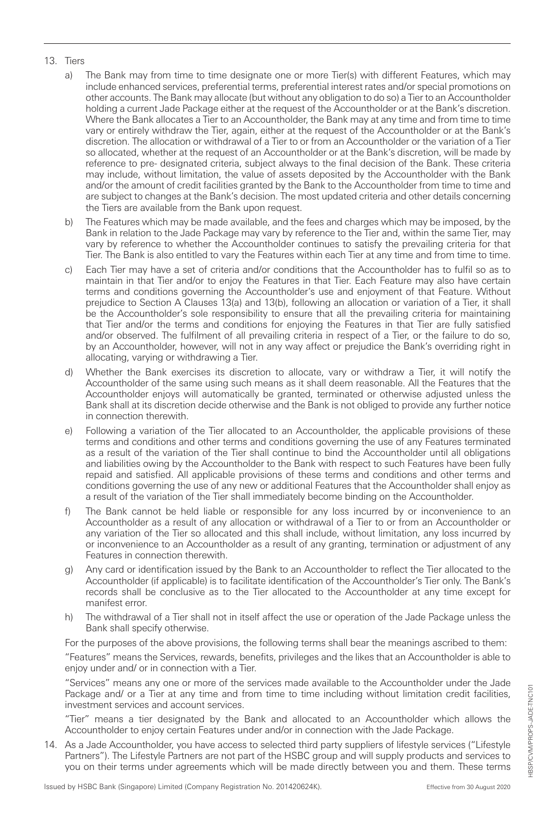#### 13. Tiers

- a) The Bank may from time to time designate one or more Tier(s) with different Features, which may include enhanced services, preferential terms, preferential interest rates and/or special promotions on other accounts. The Bank may allocate (but without any obligation to do so) a Tier to an Accountholder holding a current Jade Package either at the request of the Accountholder or at the Bank's discretion. Where the Bank allocates a Tier to an Accountholder, the Bank may at any time and from time to time vary or entirely withdraw the Tier, again, either at the request of the Accountholder or at the Bank's discretion. The allocation or withdrawal of a Tier to or from an Accountholder or the variation of a Tier so allocated, whether at the request of an Accountholder or at the Bank's discretion, will be made by reference to pre- designated criteria, subject always to the final decision of the Bank. These criteria may include, without limitation, the value of assets deposited by the Accountholder with the Bank and/or the amount of credit facilities granted by the Bank to the Accountholder from time to time and are subject to changes at the Bank's decision. The most updated criteria and other details concerning the Tiers are available from the Bank upon request.
- b) The Features which may be made available, and the fees and charges which may be imposed, by the Bank in relation to the Jade Package may vary by reference to the Tier and, within the same Tier, may vary by reference to whether the Accountholder continues to satisfy the prevailing criteria for that Tier. The Bank is also entitled to vary the Features within each Tier at any time and from time to time.
- c) Each Tier may have a set of criteria and/or conditions that the Accountholder has to fulfil so as to maintain in that Tier and/or to enjoy the Features in that Tier. Each Feature may also have certain terms and conditions governing the Accountholder's use and enjoyment of that Feature. Without prejudice to Section A Clauses 13(a) and 13(b), following an allocation or variation of a Tier, it shall be the Accountholder's sole responsibility to ensure that all the prevailing criteria for maintaining that Tier and/or the terms and conditions for enjoying the Features in that Tier are fully satisfied and/or observed. The fulfilment of all prevailing criteria in respect of a Tier, or the failure to do so, by an Accountholder, however, will not in any way affect or prejudice the Bank's overriding right in allocating, varying or withdrawing a Tier.
- d) Whether the Bank exercises its discretion to allocate, vary or withdraw a Tier, it will notify the Accountholder of the same using such means as it shall deem reasonable. All the Features that the Accountholder enjoys will automatically be granted, terminated or otherwise adjusted unless the Bank shall at its discretion decide otherwise and the Bank is not obliged to provide any further notice in connection therewith.
- e) Following a variation of the Tier allocated to an Accountholder, the applicable provisions of these terms and conditions and other terms and conditions governing the use of any Features terminated as a result of the variation of the Tier shall continue to bind the Accountholder until all obligations and liabilities owing by the Accountholder to the Bank with respect to such Features have been fully repaid and satisfied. All applicable provisions of these terms and conditions and other terms and conditions governing the use of any new or additional Features that the Accountholder shall enjoy as a result of the variation of the Tier shall immediately become binding on the Accountholder.
- f) The Bank cannot be held liable or responsible for any loss incurred by or inconvenience to an Accountholder as a result of any allocation or withdrawal of a Tier to or from an Accountholder or any variation of the Tier so allocated and this shall include, without limitation, any loss incurred by or inconvenience to an Accountholder as a result of any granting, termination or adjustment of any Features in connection therewith.
- g) Any card or identification issued by the Bank to an Accountholder to reflect the Tier allocated to the Accountholder (if applicable) is to facilitate identification of the Accountholder's Tier only. The Bank's records shall be conclusive as to the Tier allocated to the Accountholder at any time except for manifest error.
- h) The withdrawal of a Tier shall not in itself affect the use or operation of the Jade Package unless the Bank shall specify otherwise.

For the purposes of the above provisions, the following terms shall bear the meanings ascribed to them:

"Features" means the Services, rewards, benefits, privileges and the likes that an Accountholder is able to enjoy under and/ or in connection with a Tier.

"Services" means any one or more of the services made available to the Accountholder under the Jade Package and/ or a Tier at any time and from time to time including without limitation credit facilities, investment services and account services.

"Tier" means a tier designated by the Bank and allocated to an Accountholder which allows the Accountholder to enjoy certain Features under and/or in connection with the Jade Package.

14. As a Jade Accountholder, you have access to selected third party suppliers of lifestyle services ("Lifestyle Partners"). The Lifestyle Partners are not part of the HSBC group and will supply products and services to you on their terms under agreements which will be made directly between you and them. These terms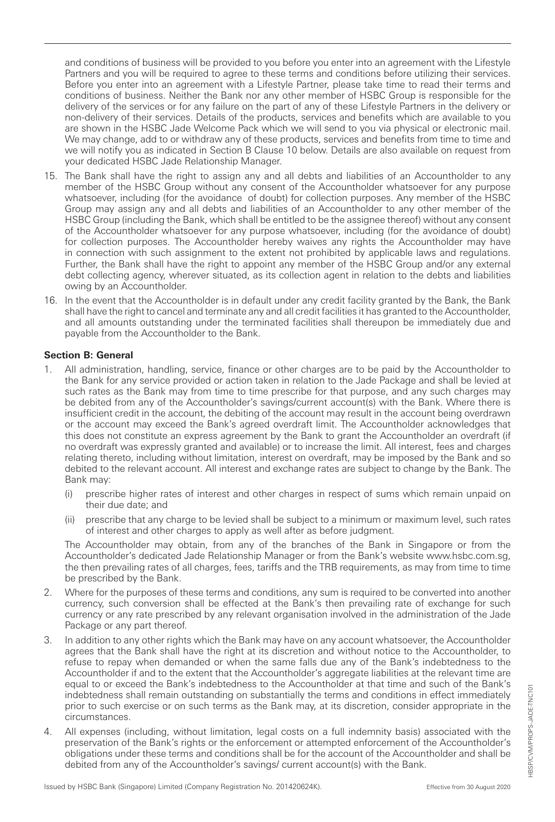and conditions of business will be provided to you before you enter into an agreement with the Lifestyle Partners and you will be required to agree to these terms and conditions before utilizing their services. Before you enter into an agreement with a Lifestyle Partner, please take time to read their terms and conditions of business. Neither the Bank nor any other member of HSBC Group is responsible for the delivery of the services or for any failure on the part of any of these Lifestyle Partners in the delivery or non-delivery of their services. Details of the products, services and benefits which are available to you are shown in the HSBC Jade Welcome Pack which we will send to you via physical or electronic mail. We may change, add to or withdraw any of these products, services and benefits from time to time and we will notify you as indicated in Section B Clause 10 below. Details are also available on request from your dedicated HSBC Jade Relationship Manager.

- 15. The Bank shall have the right to assign any and all debts and liabilities of an Accountholder to any member of the HSBC Group without any consent of the Accountholder whatsoever for any purpose whatsoever, including (for the avoidance of doubt) for collection purposes. Any member of the HSBC Group may assign any and all debts and liabilities of an Accountholder to any other member of the HSBC Group (including the Bank, which shall be entitled to be the assignee thereof) without any consent of the Accountholder whatsoever for any purpose whatsoever, including (for the avoidance of doubt) for collection purposes. The Accountholder hereby waives any rights the Accountholder may have in connection with such assignment to the extent not prohibited by applicable laws and regulations. Further, the Bank shall have the right to appoint any member of the HSBC Group and/or any external debt collecting agency, wherever situated, as its collection agent in relation to the debts and liabilities owing by an Accountholder.
- 16. In the event that the Accountholder is in default under any credit facility granted by the Bank, the Bank shall have the right to cancel and terminate any and all credit facilities it has granted to the Accountholder, and all amounts outstanding under the terminated facilities shall thereupon be immediately due and payable from the Accountholder to the Bank.

### **Section B: General**

- 1. All administration, handling, service, finance or other charges are to be paid by the Accountholder to the Bank for any service provided or action taken in relation to the Jade Package and shall be levied at such rates as the Bank may from time to time prescribe for that purpose, and any such charges may be debited from any of the Accountholder's savings/current account(s) with the Bank. Where there is insufficient credit in the account, the debiting of the account may result in the account being overdrawn or the account may exceed the Bank's agreed overdraft limit. The Accountholder acknowledges that this does not constitute an express agreement by the Bank to grant the Accountholder an overdraft (if no overdraft was expressly granted and available) or to increase the limit. All interest, fees and charges relating thereto, including without limitation, interest on overdraft, may be imposed by the Bank and so debited to the relevant account. All interest and exchange rates are subject to change by the Bank. The Bank may:
	- (i) prescribe higher rates of interest and other charges in respect of sums which remain unpaid on their due date; and
	- (ii) prescribe that any charge to be levied shall be subject to a minimum or maximum level, such rates of interest and other charges to apply as well after as before judgment.

The Accountholder may obtain, from any of the branches of the Bank in Singapore or from the Accountholder's dedicated Jade Relationship Manager or from the Bank's website www.hsbc.com.sg, the then prevailing rates of all charges, fees, tariffs and the TRB requirements, as may from time to time be prescribed by the Bank.

- 2. Where for the purposes of these terms and conditions, any sum is required to be converted into another currency, such conversion shall be effected at the Bank's then prevailing rate of exchange for such currency or any rate prescribed by any relevant organisation involved in the administration of the Jade Package or any part thereof.
- 3. In addition to any other rights which the Bank may have on any account whatsoever, the Accountholder agrees that the Bank shall have the right at its discretion and without notice to the Accountholder, to refuse to repay when demanded or when the same falls due any of the Bank's indebtedness to the Accountholder if and to the extent that the Accountholder's aggregate liabilities at the relevant time are equal to or exceed the Bank's indebtedness to the Accountholder at that time and such of the Bank's indebtedness shall remain outstanding on substantially the terms and conditions in effect immediately prior to such exercise or on such terms as the Bank may, at its discretion, consider appropriate in the circumstances.
- 4. All expenses (including, without limitation, legal costs on a full indemnity basis) associated with the preservation of the Bank's rights or the enforcement or attempted enforcement of the Accountholder's obligations under these terms and conditions shall be for the account of the Accountholder and shall be debited from any of the Accountholder's savings/ current account(s) with the Bank.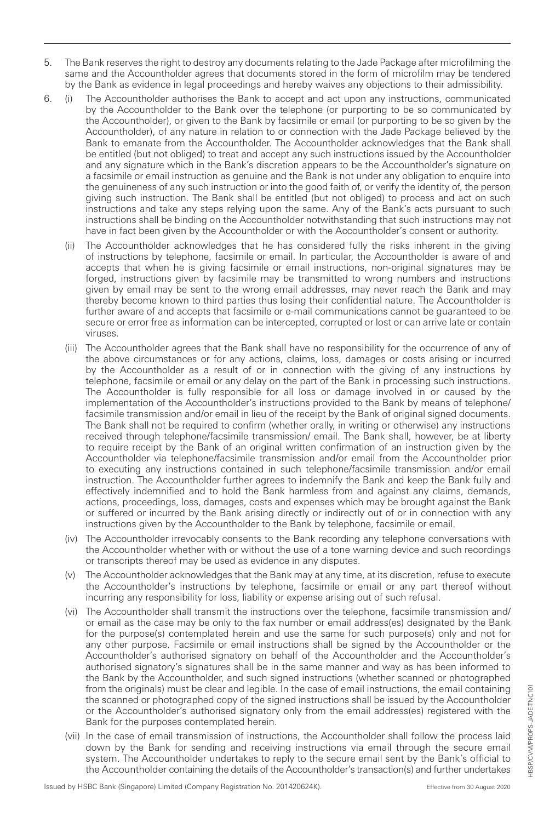- 5. The Bank reserves the right to destroy any documents relating to the Jade Package after microfilming the same and the Accountholder agrees that documents stored in the form of microfilm may be tendered by the Bank as evidence in legal proceedings and hereby waives any objections to their admissibility.
- 6. (i) The Accountholder authorises the Bank to accept and act upon any instructions, communicated by the Accountholder to the Bank over the telephone (or purporting to be so communicated by the Accountholder), or given to the Bank by facsimile or email (or purporting to be so given by the Accountholder), of any nature in relation to or connection with the Jade Package believed by the Bank to emanate from the Accountholder. The Accountholder acknowledges that the Bank shall be entitled (but not obliged) to treat and accept any such instructions issued by the Accountholder and any signature which in the Bank's discretion appears to be the Accountholder's signature on a facsimile or email instruction as genuine and the Bank is not under any obligation to enquire into the genuineness of any such instruction or into the good faith of, or verify the identity of, the person giving such instruction. The Bank shall be entitled (but not obliged) to process and act on such instructions and take any steps relying upon the same. Any of the Bank's acts pursuant to such instructions shall be binding on the Accountholder notwithstanding that such instructions may not have in fact been given by the Accountholder or with the Accountholder's consent or authority.
	- (ii) The Accountholder acknowledges that he has considered fully the risks inherent in the giving of instructions by telephone, facsimile or email. In particular, the Accountholder is aware of and accepts that when he is giving facsimile or email instructions, non-original signatures may be forged, instructions given by facsimile may be transmitted to wrong numbers and instructions given by email may be sent to the wrong email addresses, may never reach the Bank and may thereby become known to third parties thus losing their confidential nature. The Accountholder is further aware of and accepts that facsimile or e-mail communications cannot be guaranteed to be secure or error free as information can be intercepted, corrupted or lost or can arrive late or contain viruses.
	- (iii) The Accountholder agrees that the Bank shall have no responsibility for the occurrence of any of the above circumstances or for any actions, claims, loss, damages or costs arising or incurred by the Accountholder as a result of or in connection with the giving of any instructions by telephone, facsimile or email or any delay on the part of the Bank in processing such instructions. The Accountholder is fully responsible for all loss or damage involved in or caused by the implementation of the Accountholder's instructions provided to the Bank by means of telephone/ facsimile transmission and/or email in lieu of the receipt by the Bank of original signed documents. The Bank shall not be required to confirm (whether orally, in writing or otherwise) any instructions received through telephone/facsimile transmission/ email. The Bank shall, however, be at liberty to require receipt by the Bank of an original written confirmation of an instruction given by the Accountholder via telephone/facsimile transmission and/or email from the Accountholder prior to executing any instructions contained in such telephone/facsimile transmission and/or email instruction. The Accountholder further agrees to indemnify the Bank and keep the Bank fully and effectively indemnified and to hold the Bank harmless from and against any claims, demands, actions, proceedings, loss, damages, costs and expenses which may be brought against the Bank or suffered or incurred by the Bank arising directly or indirectly out of or in connection with any instructions given by the Accountholder to the Bank by telephone, facsimile or email.
	- (iv) The Accountholder irrevocably consents to the Bank recording any telephone conversations with the Accountholder whether with or without the use of a tone warning device and such recordings or transcripts thereof may be used as evidence in any disputes.
	- (v) The Accountholder acknowledges that the Bank may at any time, at its discretion, refuse to execute the Accountholder's instructions by telephone, facsimile or email or any part thereof without incurring any responsibility for loss, liability or expense arising out of such refusal.
	- (vi) The Accountholder shall transmit the instructions over the telephone, facsimile transmission and/ or email as the case may be only to the fax number or email address(es) designated by the Bank for the purpose(s) contemplated herein and use the same for such purpose(s) only and not for any other purpose. Facsimile or email instructions shall be signed by the Accountholder or the Accountholder's authorised signatory on behalf of the Accountholder and the Accountholder's authorised signatory's signatures shall be in the same manner and way as has been informed to the Bank by the Accountholder, and such signed instructions (whether scanned or photographed from the originals) must be clear and legible. In the case of email instructions, the email containing the scanned or photographed copy of the signed instructions shall be issued by the Accountholder or the Accountholder's authorised signatory only from the email address(es) registered with the Bank for the purposes contemplated herein.
	- (vii) In the case of email transmission of instructions, the Accountholder shall follow the process laid down by the Bank for sending and receiving instructions via email through the secure email system. The Accountholder undertakes to reply to the secure email sent by the Bank's official to the Accountholder containing the details of the Accountholder's transaction(s) and further undertakes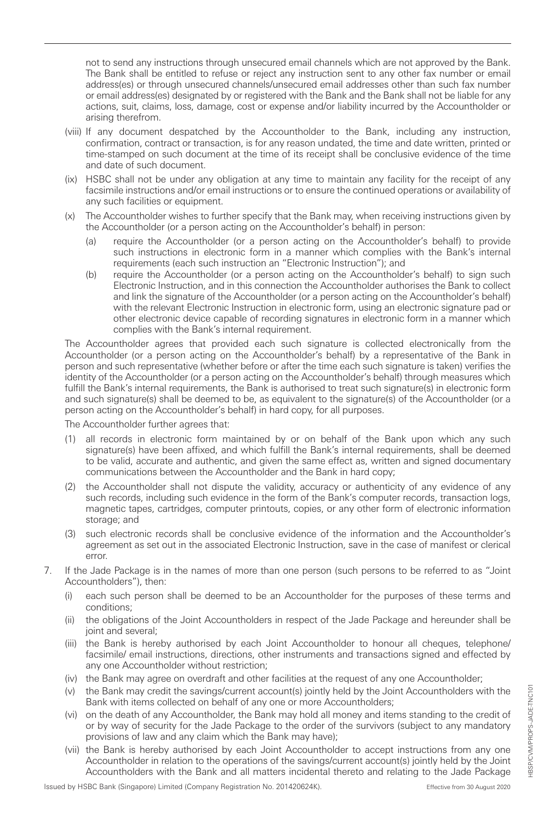not to send any instructions through unsecured email channels which are not approved by the Bank. The Bank shall be entitled to refuse or reject any instruction sent to any other fax number or email address(es) or through unsecured channels/unsecured email addresses other than such fax number or email address(es) designated by or registered with the Bank and the Bank shall not be liable for any actions, suit, claims, loss, damage, cost or expense and/or liability incurred by the Accountholder or arising therefrom.

- (viii) If any document despatched by the Accountholder to the Bank, including any instruction, confirmation, contract or transaction, is for any reason undated, the time and date written, printed or time-stamped on such document at the time of its receipt shall be conclusive evidence of the time and date of such document.
- (ix) HSBC shall not be under any obligation at any time to maintain any facility for the receipt of any facsimile instructions and/or email instructions or to ensure the continued operations or availability of any such facilities or equipment.
- (x) The Accountholder wishes to further specify that the Bank may, when receiving instructions given by the Accountholder (or a person acting on the Accountholder's behalf) in person:
	- (a) require the Accountholder (or a person acting on the Accountholder's behalf) to provide such instructions in electronic form in a manner which complies with the Bank's internal requirements (each such instruction an "Electronic Instruction"); and
	- (b) require the Accountholder (or a person acting on the Accountholder's behalf) to sign such Electronic Instruction, and in this connection the Accountholder authorises the Bank to collect and link the signature of the Accountholder (or a person acting on the Accountholder's behalf) with the relevant Electronic Instruction in electronic form, using an electronic signature pad or other electronic device capable of recording signatures in electronic form in a manner which complies with the Bank's internal requirement.

The Accountholder agrees that provided each such signature is collected electronically from the Accountholder (or a person acting on the Accountholder's behalf) by a representative of the Bank in person and such representative (whether before or after the time each such signature is taken) verifies the identity of the Accountholder (or a person acting on the Accountholder's behalf) through measures which fulfill the Bank's internal requirements, the Bank is authorised to treat such signature(s) in electronic form and such signature(s) shall be deemed to be, as equivalent to the signature(s) of the Accountholder (or a person acting on the Accountholder's behalf) in hard copy, for all purposes.

The Accountholder further agrees that:

- (1) all records in electronic form maintained by or on behalf of the Bank upon which any such signature(s) have been affixed, and which fulfill the Bank's internal requirements, shall be deemed to be valid, accurate and authentic, and given the same effect as, written and signed documentary communications between the Accountholder and the Bank in hard copy;
- (2) the Accountholder shall not dispute the validity, accuracy or authenticity of any evidence of any such records, including such evidence in the form of the Bank's computer records, transaction logs, magnetic tapes, cartridges, computer printouts, copies, or any other form of electronic information storage; and
- (3) such electronic records shall be conclusive evidence of the information and the Accountholder's agreement as set out in the associated Electronic Instruction, save in the case of manifest or clerical error.
- 7. If the Jade Package is in the names of more than one person (such persons to be referred to as "Joint Accountholders"), then:
	- (i) each such person shall be deemed to be an Accountholder for the purposes of these terms and conditions;
	- (ii) the obligations of the Joint Accountholders in respect of the Jade Package and hereunder shall be joint and several;
	- (iii) the Bank is hereby authorised by each Joint Accountholder to honour all cheques, telephone/ facsimile/ email instructions, directions, other instruments and transactions signed and effected by any one Accountholder without restriction;
	- (iv) the Bank may agree on overdraft and other facilities at the request of any one Accountholder;
	- (v) the Bank may credit the savings/current account(s) jointly held by the Joint Accountholders with the Bank with items collected on behalf of any one or more Accountholders;
	- (vi) on the death of any Accountholder, the Bank may hold all money and items standing to the credit of or by way of security for the Jade Package to the order of the survivors (subject to any mandatory provisions of law and any claim which the Bank may have);
	- (vii) the Bank is hereby authorised by each Joint Accountholder to accept instructions from any one Accountholder in relation to the operations of the savings/current account(s) jointly held by the Joint Accountholders with the Bank and all matters incidental thereto and relating to the Jade Package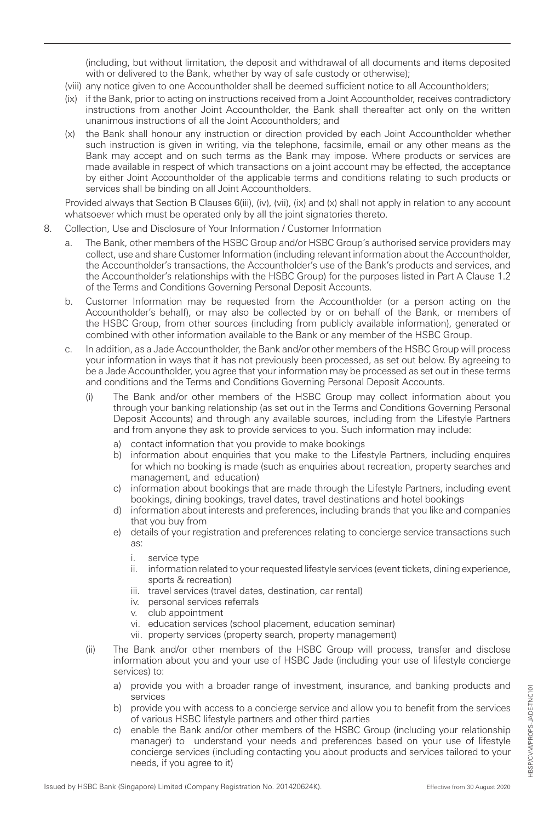(including, but without limitation, the deposit and withdrawal of all documents and items deposited with or delivered to the Bank, whether by way of safe custody or otherwise);

- (viii) any notice given to one Accountholder shall be deemed sufficient notice to all Accountholders;
- (ix) if the Bank, prior to acting on instructions received from a Joint Accountholder, receives contradictory instructions from another Joint Accountholder, the Bank shall thereafter act only on the written unanimous instructions of all the Joint Accountholders; and
- (x) the Bank shall honour any instruction or direction provided by each Joint Accountholder whether such instruction is given in writing, via the telephone, facsimile, email or any other means as the Bank may accept and on such terms as the Bank may impose. Where products or services are made available in respect of which transactions on a joint account may be effected, the acceptance by either Joint Accountholder of the applicable terms and conditions relating to such products or services shall be binding on all Joint Accountholders.

Provided always that Section B Clauses 6(iii), (iv), (vii), (ix) and (x) shall not apply in relation to any account whatsoever which must be operated only by all the joint signatories thereto.

- 8. Collection, Use and Disclosure of Your Information / Customer Information
	- a. The Bank, other members of the HSBC Group and/or HSBC Group's authorised service providers may collect, use and share Customer Information (including relevant information about the Accountholder, the Accountholder's transactions, the Accountholder's use of the Bank's products and services, and the Accountholder's relationships with the HSBC Group) for the purposes listed in Part A Clause 1.2 of the Terms and Conditions Governing Personal Deposit Accounts.
	- b. Customer Information may be requested from the Accountholder (or a person acting on the Accountholder's behalf), or may also be collected by or on behalf of the Bank, or members of the HSBC Group, from other sources (including from publicly available information), generated or combined with other information available to the Bank or any member of the HSBC Group.
	- c. In addition, as a Jade Accountholder, the Bank and/or other members of the HSBC Group will process your information in ways that it has not previously been processed, as set out below. By agreeing to be a Jade Accountholder, you agree that your information may be processed as set out in these terms and conditions and the Terms and Conditions Governing Personal Deposit Accounts.
		- (i) The Bank and/or other members of the HSBC Group may collect information about you through your banking relationship (as set out in the Terms and Conditions Governing Personal Deposit Accounts) and through any available sources, including from the Lifestyle Partners and from anyone they ask to provide services to you. Such information may include:
			- a) contact information that you provide to make bookings
			- b) information about enquiries that you make to the Lifestyle Partners, including enquires for which no booking is made (such as enquiries about recreation, property searches and management, and education)
			- c) information about bookings that are made through the Lifestyle Partners, including event bookings, dining bookings, travel dates, travel destinations and hotel bookings
			- d) information about interests and preferences, including brands that you like and companies that you buy from
			- e) details of your registration and preferences relating to concierge service transactions such as:
				- i. service type
				- ii. information related to your requested lifestyle services (event tickets, dining experience, sports & recreation)
				- iii. travel services (travel dates, destination, car rental)
				- iv. personal services referrals
				- v. club appointment
				- vi. education services (school placement, education seminar)
				- vii. property services (property search, property management)
		- (ii) The Bank and/or other members of the HSBC Group will process, transfer and disclose information about you and your use of HSBC Jade (including your use of lifestyle concierge services) to:
			- a) provide you with a broader range of investment, insurance, and banking products and **services**
			- b) provide you with access to a concierge service and allow you to benefit from the services of various HSBC lifestyle partners and other third parties
			- c) enable the Bank and/or other members of the HSBC Group (including your relationship manager) to understand your needs and preferences based on your use of lifestyle concierge services (including contacting you about products and services tailored to your needs, if you agree to it)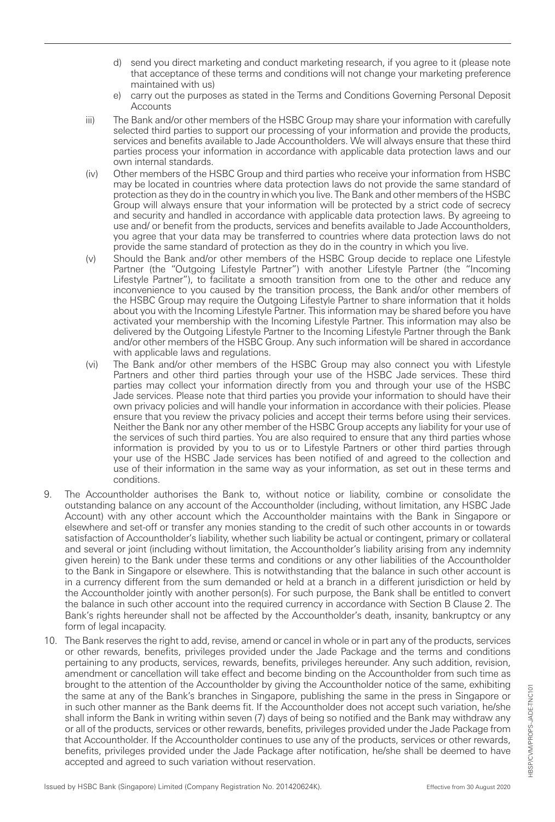- d) send you direct marketing and conduct marketing research, if you agree to it (please note that acceptance of these terms and conditions will not change your marketing preference maintained with us)
- e) carry out the purposes as stated in the Terms and Conditions Governing Personal Deposit Accounts
- iii) The Bank and/or other members of the HSBC Group may share your information with carefully selected third parties to support our processing of your information and provide the products, services and benefits available to Jade Accountholders. We will always ensure that these third parties process your information in accordance with applicable data protection laws and our own internal standards.
- (iv) Other members of the HSBC Group and third parties who receive your information from HSBC may be located in countries where data protection laws do not provide the same standard of protection as they do in the country in which you live. The Bank and other members of the HSBC Group will always ensure that your information will be protected by a strict code of secrecy and security and handled in accordance with applicable data protection laws. By agreeing to use and/ or benefit from the products, services and benefits available to Jade Accountholders, you agree that your data may be transferred to countries where data protection laws do not provide the same standard of protection as they do in the country in which you live.
- (v) Should the Bank and/or other members of the HSBC Group decide to replace one Lifestyle Partner (the "Outgoing Lifestyle Partner") with another Lifestyle Partner (the "Incoming Lifestyle Partner"), to facilitate a smooth transition from one to the other and reduce any inconvenience to you caused by the transition process, the Bank and/or other members of the HSBC Group may require the Outgoing Lifestyle Partner to share information that it holds about you with the Incoming Lifestyle Partner. This information may be shared before you have activated your membership with the Incoming Lifestyle Partner. This information may also be delivered by the Outgoing Lifestyle Partner to the Incoming Lifestyle Partner through the Bank and/or other members of the HSBC Group. Any such information will be shared in accordance with applicable laws and regulations.
- (vi) The Bank and/or other members of the HSBC Group may also connect you with Lifestyle Partners and other third parties through your use of the HSBC Jade services. These third parties may collect your information directly from you and through your use of the HSBC Jade services. Please note that third parties you provide your information to should have their own privacy policies and will handle your information in accordance with their policies. Please ensure that you review the privacy policies and accept their terms before using their services. Neither the Bank nor any other member of the HSBC Group accepts any liability for your use of the services of such third parties. You are also required to ensure that any third parties whose information is provided by you to us or to Lifestyle Partners or other third parties through your use of the HSBC Jade services has been notified of and agreed to the collection and use of their information in the same way as your information, as set out in these terms and conditions.
- 9. The Accountholder authorises the Bank to, without notice or liability, combine or consolidate the outstanding balance on any account of the Accountholder (including, without limitation, any HSBC Jade Account) with any other account which the Accountholder maintains with the Bank in Singapore or elsewhere and set-off or transfer any monies standing to the credit of such other accounts in or towards satisfaction of Accountholder's liability, whether such liability be actual or contingent, primary or collateral and several or joint (including without limitation, the Accountholder's liability arising from any indemnity given herein) to the Bank under these terms and conditions or any other liabilities of the Accountholder to the Bank in Singapore or elsewhere. This is notwithstanding that the balance in such other account is in a currency different from the sum demanded or held at a branch in a different jurisdiction or held by the Accountholder jointly with another person(s). For such purpose, the Bank shall be entitled to convert the balance in such other account into the required currency in accordance with Section B Clause 2. The Bank's rights hereunder shall not be affected by the Accountholder's death, insanity, bankruptcy or any form of legal incapacity.
- 10. The Bank reserves the right to add, revise, amend or cancel in whole or in part any of the products, services or other rewards, benefits, privileges provided under the Jade Package and the terms and conditions pertaining to any products, services, rewards, benefits, privileges hereunder. Any such addition, revision, amendment or cancellation will take effect and become binding on the Accountholder from such time as brought to the attention of the Accountholder by giving the Accountholder notice of the same, exhibiting the same at any of the Bank's branches in Singapore, publishing the same in the press in Singapore or in such other manner as the Bank deems fit. If the Accountholder does not accept such variation, he/she shall inform the Bank in writing within seven (7) days of being so notified and the Bank may withdraw any or all of the products, services or other rewards, benefits, privileges provided under the Jade Package from that Accountholder. If the Accountholder continues to use any of the products, services or other rewards, benefits, privileges provided under the Jade Package after notification, he/she shall be deemed to have accepted and agreed to such variation without reservation.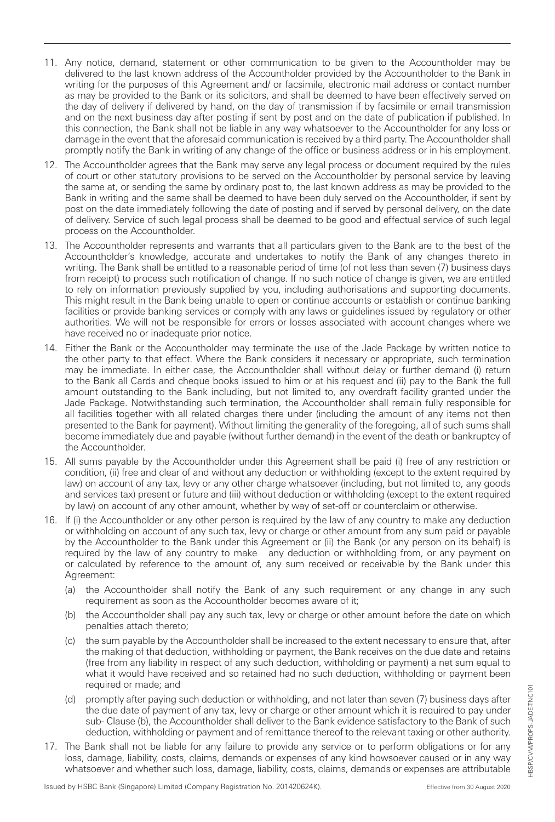- 11. Any notice, demand, statement or other communication to be given to the Accountholder may be delivered to the last known address of the Accountholder provided by the Accountholder to the Bank in writing for the purposes of this Agreement and/ or facsimile, electronic mail address or contact number as may be provided to the Bank or its solicitors, and shall be deemed to have been effectively served on the day of delivery if delivered by hand, on the day of transmission if by facsimile or email transmission and on the next business day after posting if sent by post and on the date of publication if published. In this connection, the Bank shall not be liable in any way whatsoever to the Accountholder for any loss or damage in the event that the aforesaid communication is received by a third party. The Accountholder shall promptly notify the Bank in writing of any change of the office or business address or in his employment.
- 12. The Accountholder agrees that the Bank may serve any legal process or document required by the rules of court or other statutory provisions to be served on the Accountholder by personal service by leaving the same at, or sending the same by ordinary post to, the last known address as may be provided to the Bank in writing and the same shall be deemed to have been duly served on the Accountholder, if sent by post on the date immediately following the date of posting and if served by personal delivery, on the date of delivery. Service of such legal process shall be deemed to be good and effectual service of such legal process on the Accountholder.
- 13. The Accountholder represents and warrants that all particulars given to the Bank are to the best of the Accountholder's knowledge, accurate and undertakes to notify the Bank of any changes thereto in writing. The Bank shall be entitled to a reasonable period of time (of not less than seven (7) business days from receipt) to process such notification of change. If no such notice of change is given, we are entitled to rely on information previously supplied by you, including authorisations and supporting documents. This might result in the Bank being unable to open or continue accounts or establish or continue banking facilities or provide banking services or comply with any laws or guidelines issued by regulatory or other authorities. We will not be responsible for errors or losses associated with account changes where we have received no or inadequate prior notice.
- 14. Either the Bank or the Accountholder may terminate the use of the Jade Package by written notice to the other party to that effect. Where the Bank considers it necessary or appropriate, such termination may be immediate. In either case, the Accountholder shall without delay or further demand (i) return to the Bank all Cards and cheque books issued to him or at his request and (ii) pay to the Bank the full amount outstanding to the Bank including, but not limited to, any overdraft facility granted under the Jade Package. Notwithstanding such termination, the Accountholder shall remain fully responsible for all facilities together with all related charges there under (including the amount of any items not then presented to the Bank for payment). Without limiting the generality of the foregoing, all of such sums shall become immediately due and payable (without further demand) in the event of the death or bankruptcy of the Accountholder.
- 15. All sums payable by the Accountholder under this Agreement shall be paid (i) free of any restriction or condition, (ii) free and clear of and without any deduction or withholding (except to the extent required by law) on account of any tax, levy or any other charge whatsoever (including, but not limited to, any goods and services tax) present or future and (iii) without deduction or withholding (except to the extent required by law) on account of any other amount, whether by way of set-off or counterclaim or otherwise.
- 16. If (i) the Accountholder or any other person is required by the law of any country to make any deduction or withholding on account of any such tax, levy or charge or other amount from any sum paid or payable by the Accountholder to the Bank under this Agreement or (ii) the Bank (or any person on its behalf) is required by the law of any country to make any deduction or withholding from, or any payment on or calculated by reference to the amount of, any sum received or receivable by the Bank under this Agreement:
	- (a) the Accountholder shall notify the Bank of any such requirement or any change in any such requirement as soon as the Accountholder becomes aware of it;
	- (b) the Accountholder shall pay any such tax, levy or charge or other amount before the date on which penalties attach thereto;
	- (c) the sum payable by the Accountholder shall be increased to the extent necessary to ensure that, after the making of that deduction, withholding or payment, the Bank receives on the due date and retains (free from any liability in respect of any such deduction, withholding or payment) a net sum equal to what it would have received and so retained had no such deduction, withholding or payment been required or made; and
	- (d) promptly after paying such deduction or withholding, and not later than seven (7) business days after the due date of payment of any tax, levy or charge or other amount which it is required to pay under sub- Clause (b), the Accountholder shall deliver to the Bank evidence satisfactory to the Bank of such deduction, withholding or payment and of remittance thereof to the relevant taxing or other authority.
- 17. The Bank shall not be liable for any failure to provide any service or to perform obligations or for any loss, damage, liability, costs, claims, demands or expenses of any kind howsoever caused or in any way whatsoever and whether such loss, damage, liability, costs, claims, demands or expenses are attributable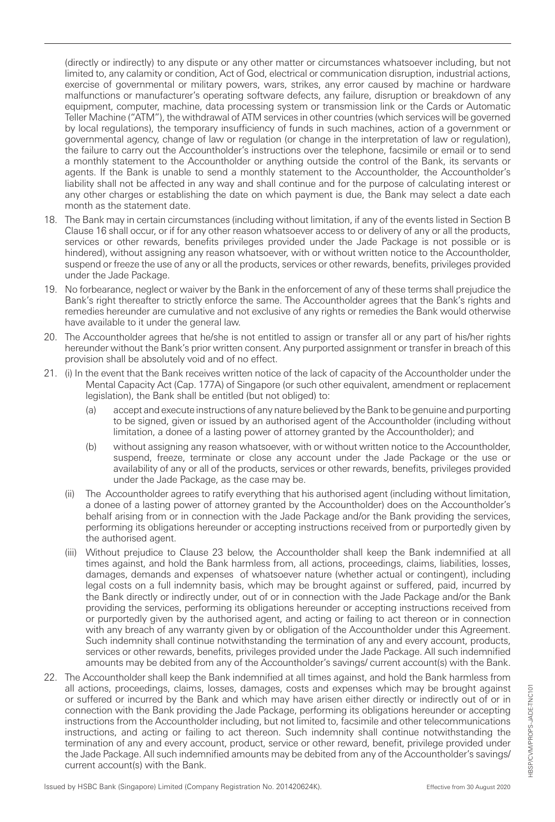(directly or indirectly) to any dispute or any other matter or circumstances whatsoever including, but not limited to, any calamity or condition, Act of God, electrical or communication disruption, industrial actions, exercise of governmental or military powers, wars, strikes, any error caused by machine or hardware malfunctions or manufacturer's operating software defects, any failure, disruption or breakdown of any equipment, computer, machine, data processing system or transmission link or the Cards or Automatic Teller Machine ("ATM"), the withdrawal of ATM services in other countries (which services will be governed by local regulations), the temporary insufficiency of funds in such machines, action of a government or governmental agency, change of law or regulation (or change in the interpretation of law or regulation), the failure to carry out the Accountholder's instructions over the telephone, facsimile or email or to send a monthly statement to the Accountholder or anything outside the control of the Bank, its servants or agents. If the Bank is unable to send a monthly statement to the Accountholder, the Accountholder's liability shall not be affected in any way and shall continue and for the purpose of calculating interest or any other charges or establishing the date on which payment is due, the Bank may select a date each month as the statement date.

- 18. The Bank may in certain circumstances (including without limitation, if any of the events listed in Section B Clause 16 shall occur, or if for any other reason whatsoever access to or delivery of any or all the products, services or other rewards, benefits privileges provided under the Jade Package is not possible or is hindered), without assigning any reason whatsoever, with or without written notice to the Accountholder, suspend or freeze the use of any or all the products, services or other rewards, benefits, privileges provided under the Jade Package.
- 19. No forbearance, neglect or waiver by the Bank in the enforcement of any of these terms shall prejudice the Bank's right thereafter to strictly enforce the same. The Accountholder agrees that the Bank's rights and remedies hereunder are cumulative and not exclusive of any rights or remedies the Bank would otherwise have available to it under the general law.
- 20. The Accountholder agrees that he/she is not entitled to assign or transfer all or any part of his/her rights hereunder without the Bank's prior written consent. Any purported assignment or transfer in breach of this provision shall be absolutely void and of no effect.
- 21. (i) In the event that the Bank receives written notice of the lack of capacity of the Accountholder under the Mental Capacity Act (Cap. 177A) of Singapore (or such other equivalent, amendment or replacement legislation), the Bank shall be entitled (but not obliged) to:
	- (a) accept and execute instructions of any nature believed by the Bank to be genuine and purporting to be signed, given or issued by an authorised agent of the Accountholder (including without limitation, a donee of a lasting power of attorney granted by the Accountholder); and
	- (b) without assigning any reason whatsoever, with or without written notice to the Accountholder, suspend, freeze, terminate or close any account under the Jade Package or the use or availability of any or all of the products, services or other rewards, benefits, privileges provided under the Jade Package, as the case may be.
	- (ii) The Accountholder agrees to ratify everything that his authorised agent (including without limitation, a donee of a lasting power of attorney granted by the Accountholder) does on the Accountholder's behalf arising from or in connection with the Jade Package and/or the Bank providing the services, performing its obligations hereunder or accepting instructions received from or purportedly given by the authorised agent.
	- (iii) Without prejudice to Clause 23 below, the Accountholder shall keep the Bank indemnified at all times against, and hold the Bank harmless from, all actions, proceedings, claims, liabilities, losses, damages, demands and expenses of whatsoever nature (whether actual or contingent), including legal costs on a full indemnity basis, which may be brought against or suffered, paid, incurred by the Bank directly or indirectly under, out of or in connection with the Jade Package and/or the Bank providing the services, performing its obligations hereunder or accepting instructions received from or purportedly given by the authorised agent, and acting or failing to act thereon or in connection with any breach of any warranty given by or obligation of the Accountholder under this Agreement. Such indemnity shall continue notwithstanding the termination of any and every account, products, services or other rewards, benefits, privileges provided under the Jade Package. All such indemnified amounts may be debited from any of the Accountholder's savings/ current account(s) with the Bank.
- 22. The Accountholder shall keep the Bank indemnified at all times against, and hold the Bank harmless from all actions, proceedings, claims, losses, damages, costs and expenses which may be brought against or suffered or incurred by the Bank and which may have arisen either directly or indirectly out of or in connection with the Bank providing the Jade Package, performing its obligations hereunder or accepting instructions from the Accountholder including, but not limited to, facsimile and other telecommunications instructions, and acting or failing to act thereon. Such indemnity shall continue notwithstanding the termination of any and every account, product, service or other reward, benefit, privilege provided under the Jade Package. All such indemnified amounts may be debited from any of the Accountholder's savings/ current account(s) with the Bank.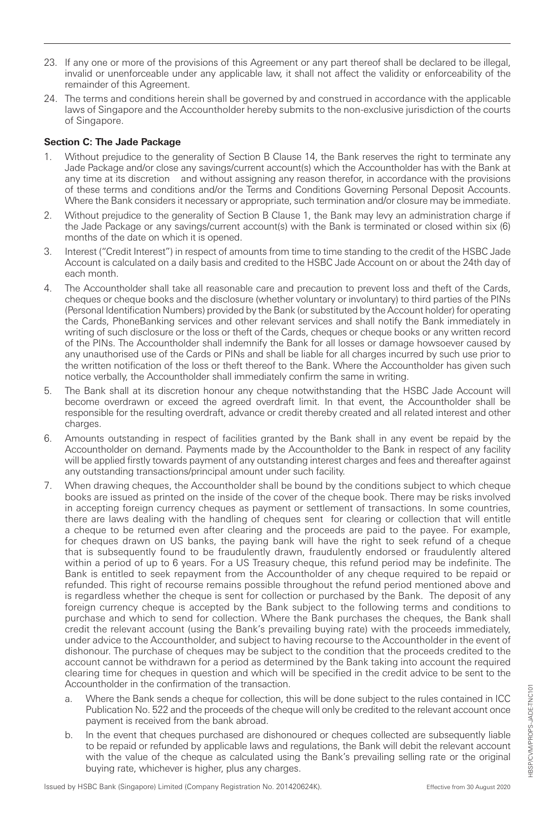- 23. If any one or more of the provisions of this Agreement or any part thereof shall be declared to be illegal, invalid or unenforceable under any applicable law, it shall not affect the validity or enforceability of the remainder of this Agreement.
- 24. The terms and conditions herein shall be governed by and construed in accordance with the applicable laws of Singapore and the Accountholder hereby submits to the non-exclusive jurisdiction of the courts of Singapore.

## **Section C: The Jade Package**

- 1. Without prejudice to the generality of Section B Clause 14, the Bank reserves the right to terminate any Jade Package and/or close any savings/current account(s) which the Accountholder has with the Bank at any time at its discretion and without assigning any reason therefor, in accordance with the provisions of these terms and conditions and/or the Terms and Conditions Governing Personal Deposit Accounts. Where the Bank considers it necessary or appropriate, such termination and/or closure may be immediate.
- 2. Without prejudice to the generality of Section B Clause 1, the Bank may levy an administration charge if the Jade Package or any savings/current account(s) with the Bank is terminated or closed within six (6) months of the date on which it is opened.
- 3. Interest ("Credit Interest") in respect of amounts from time to time standing to the credit of the HSBC Jade Account is calculated on a daily basis and credited to the HSBC Jade Account on or about the 24th day of each month.
- 4. The Accountholder shall take all reasonable care and precaution to prevent loss and theft of the Cards, cheques or cheque books and the disclosure (whether voluntary or involuntary) to third parties of the PINs (Personal Identification Numbers) provided by the Bank (or substituted by the Account holder) for operating the Cards, PhoneBanking services and other relevant services and shall notify the Bank immediately in writing of such disclosure or the loss or theft of the Cards, cheques or cheque books or any written record of the PINs. The Accountholder shall indemnify the Bank for all losses or damage howsoever caused by any unauthorised use of the Cards or PINs and shall be liable for all charges incurred by such use prior to the written notification of the loss or theft thereof to the Bank. Where the Accountholder has given such notice verbally, the Accountholder shall immediately confirm the same in writing.
- 5. The Bank shall at its discretion honour any cheque notwithstanding that the HSBC Jade Account will become overdrawn or exceed the agreed overdraft limit. In that event, the Accountholder shall be responsible for the resulting overdraft, advance or credit thereby created and all related interest and other charges.
- 6. Amounts outstanding in respect of facilities granted by the Bank shall in any event be repaid by the Accountholder on demand. Payments made by the Accountholder to the Bank in respect of any facility will be applied firstly towards payment of any outstanding interest charges and fees and thereafter against any outstanding transactions/principal amount under such facility.
- 7. When drawing cheques, the Accountholder shall be bound by the conditions subject to which cheque books are issued as printed on the inside of the cover of the cheque book. There may be risks involved in accepting foreign currency cheques as payment or settlement of transactions. In some countries, there are laws dealing with the handling of cheques sent for clearing or collection that will entitle a cheque to be returned even after clearing and the proceeds are paid to the payee. For example, for cheques drawn on US banks, the paying bank will have the right to seek refund of a cheque that is subsequently found to be fraudulently drawn, fraudulently endorsed or fraudulently altered within a period of up to 6 years. For a US Treasury cheque, this refund period may be indefinite. The Bank is entitled to seek repayment from the Accountholder of any cheque required to be repaid or refunded. This right of recourse remains possible throughout the refund period mentioned above and is regardless whether the cheque is sent for collection or purchased by the Bank. The deposit of any foreign currency cheque is accepted by the Bank subject to the following terms and conditions to purchase and which to send for collection. Where the Bank purchases the cheques, the Bank shall credit the relevant account (using the Bank's prevailing buying rate) with the proceeds immediately, under advice to the Accountholder, and subject to having recourse to the Accountholder in the event of dishonour. The purchase of cheques may be subject to the condition that the proceeds credited to the account cannot be withdrawn for a period as determined by the Bank taking into account the required clearing time for cheques in question and which will be specified in the credit advice to be sent to the Accountholder in the confirmation of the transaction.
	- a. Where the Bank sends a cheque for collection, this will be done subject to the rules contained in ICC Publication No. 522 and the proceeds of the cheque will only be credited to the relevant account once payment is received from the bank abroad.
	- b. In the event that cheques purchased are dishonoured or cheques collected are subsequently liable to be repaid or refunded by applicable laws and regulations, the Bank will debit the relevant account with the value of the cheque as calculated using the Bank's prevailing selling rate or the original buying rate, whichever is higher, plus any charges.